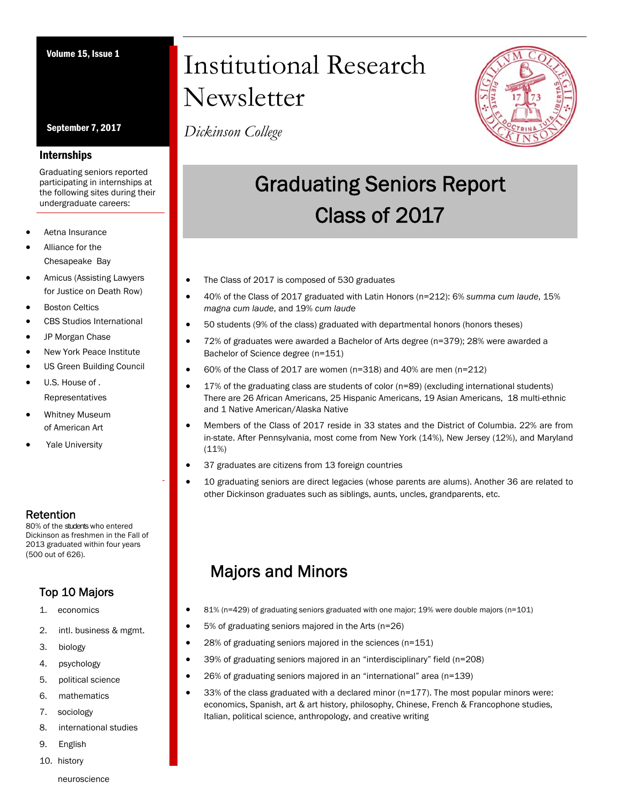September 7, 2017

#### Internships

Graduating seniors reported participating in internships at the following sites during their undergraduate careers:

- Aetna Insurance
- Alliance for the Chesapeake Bay
- Amicus (Assisting Lawyers for Justice on Death Row)
- Boston Celtics
- CBS Studios International
- JP Morgan Chase
- New York Peace Institute
- US Green Building Council
- U.S. House of . Representatives
- Whitney Museum of American Art
- Yale University

### Retention

80% of the students who entered Dickinson as freshmen in the Fall of 2013 graduated within four years (500 out of 626).

## Top 10 Majors

- 1. economics
- 2. intl. business & mgmt.
- 3. biology
- 4. psychology
- 5. political science
- 6. mathematics
- 7. sociology
- 8. international studies
- 9. English
- 10. history

# Volume 15, Issue 1 Institutional Research **Newsletter**

*Dickinson College*



## Graduating Seniors Report Class of 2017

- The Class of 2017 is composed of 530 graduates
- 40% of the Class of 2017 graduated with Latin Honors (n=212): 6% *summa cum laude*, 15% *magna cum laude*, and 19% *cum laude*
- 50 students (9% of the class) graduated with departmental honors (honors theses)
- 72% of graduates were awarded a Bachelor of Arts degree (n=379); 28% were awarded a Bachelor of Science degree (n=151)
- 60% of the Class of 2017 are women (n=318) and 40% are men (n=212)
- 17% of the graduating class are students of color (n=89) (excluding international students) There are 26 African Americans, 25 Hispanic Americans, 19 Asian Americans, 18 multi-ethnic and 1 Native American/Alaska Native
- Members of the Class of 2017 reside in 33 states and the District of Columbia. 22% are from in-state. After Pennsylvania, most come from New York (14%), New Jersey (12%), and Maryland (11%)
- 37 graduates are citizens from 13 foreign countries
- 10 graduating seniors are direct legacies (whose parents are alums). Another 36 are related to other Dickinson graduates such as siblings, aunts, uncles, grandparents, etc.

## Majors and Minors

- 81% (n=429) of graduating seniors graduated with one major; 19% were double majors (n=101)
- 5% of graduating seniors majored in the Arts (n=26)
- 28% of graduating seniors majored in the sciences (n=151)
- 39% of graduating seniors majored in an "interdisciplinary" field (n=208)
- 26% of graduating seniors majored in an "international" area (n=139)
- 33% of the class graduated with a declared minor (n=177). The most popular minors were: economics, Spanish, art & art history, philosophy, Chinese, French & Francophone studies, Italian, political science, anthropology, and creative writing